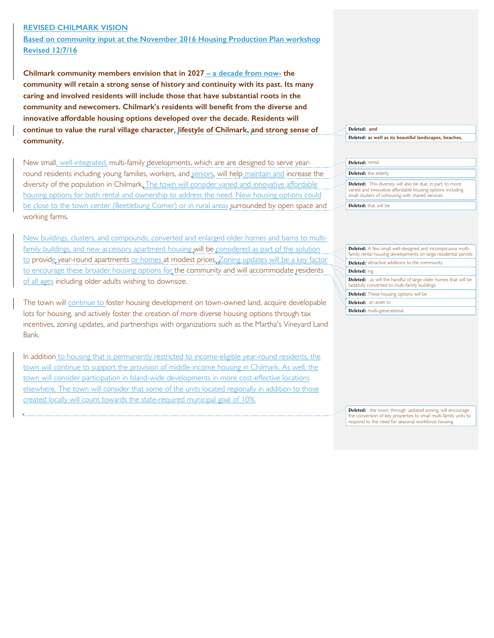## **REVISED CHILMARK VISION**

**Based on community input at the November 2016 Housing Production Plan workshop Revised 12/7/16**

**Chilmark community members envision that in 2027 – a decade from now- the community will retain a strong sense of history and continuity with its past. Its many caring and involved residents will include those that have substantial roots in the community and newcomers. Chilmark's residents will benefit from the diverse and innovative affordable housing options developed over the decade. Residents will continue to value the rural village character, lifestyle of Chilmark, and strong sense of community.** 

New small, well-integrated, multi-family developments, which are are designed to serve yearround residents including young families, workers, and seniors, will help maintain and increase the diversity of the population in Chilmark. The town will consider varied and innovative affordable housing options for both rental and ownership to address the need. New housing options could be close to the town center (Beetlebung Corner) or in rural areas surrounded by open space and working farms.

New buildings, clusters, and compounds; converted and enlarged older homes and barns to multifamily buildings, and new accessory apartment housing will be considered as part of the solution to provide year-round apartments or homes at modest prices. Zoning updates will be a key factor to encourage these broader housing options for the community and will accommodate residents of all ages including older adults wishing to downsize.

The town will continue to foster housing development on town-owned land, acquire developable lots for housing, and actively foster the creation of more diverse housing options through tax incentives, zoning updates, and partnerships with organizations such as the Martha's Vineyard Land Bank.

In addition to housing that is permanently restricted to income-eligible year-round residents, the town will continue to support the provision of middle-income housing in Chilmark. As well, the town will consider participation in Island-wide developments in more cost-effective locations elsewhere. The town will consider that some of the units located regionally in addition to those created locally will count towards the state-required municipal goal of 10%.

## **Deleted: and Deleted: as well as its beautiful landscapes, beaches,**

## **Deleted:** rental **Deleted:** the elderly

**Deleted:** This diversity will also be due, in part, to more varied and innovative affordable housing options including small clusters of cohousing with shared services **Deleted:** that will be

| <b>Deleted:</b> A few small well-designed and inconspicuous multi-<br>family rental housing developments on large residential parcels |  |  |  |  |  |
|---------------------------------------------------------------------------------------------------------------------------------------|--|--|--|--|--|
| <b>Deleted:</b> attractive additions to the community                                                                                 |  |  |  |  |  |
| Deleted: ing                                                                                                                          |  |  |  |  |  |
| <b>Deleted:</b> , as will the handful of large older homes that will be<br>tastefully converted to multi-family buildings.            |  |  |  |  |  |
| <b>Deleted:</b> These housing options will be                                                                                         |  |  |  |  |  |
| <b>Deleted:</b> an asset to                                                                                                           |  |  |  |  |  |

**Deleted:** multi-generational

**Deleted:** , the town, through updated zoning, will encourage the conversion of key properties to small multi-family units to respond to the need for seasonal workforce housing.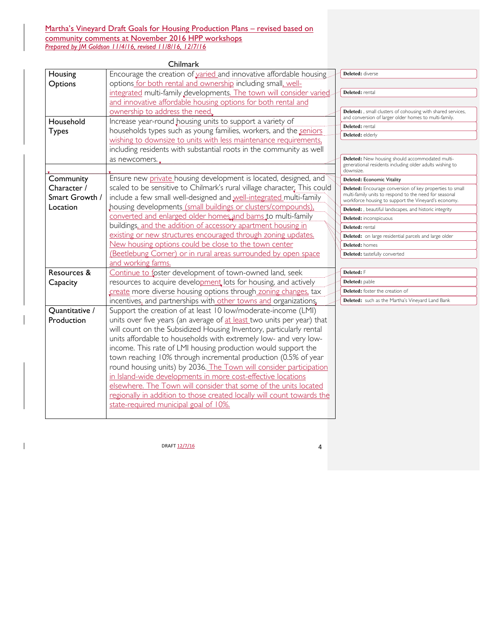## Martha's Vineyard Draft Goals for Housing Production Plans – revised based on community comments at November 2016 HPP workshops *Prepared by JM Goldson 11/4/16, revised 11/8/16, 12/7/16*

|                | Chilmark                                                                 |                                                                                                                      |
|----------------|--------------------------------------------------------------------------|----------------------------------------------------------------------------------------------------------------------|
| Housing        | Encourage the creation of varied and innovative affordable housing       | Deleted: diverse                                                                                                     |
| Options        | options for both rental and ownership including small, well-             |                                                                                                                      |
|                | integrated multi-family developments. The town will consider varied.     | Deleted: rental                                                                                                      |
|                | and innovative affordable housing options for both rental and            |                                                                                                                      |
|                | ownership to address the need,                                           | Deleted:, small clusters of cohousing with shared services,<br>and conversion of larger older homes to multi-family. |
| Household      | Increase year-round housing units to support a variety of                | Deleted: rental                                                                                                      |
| <b>Types</b>   | households types such as young families, workers, and the seniors        | Deleted: elderly                                                                                                     |
|                | wishing to downsize to units with less maintenance requirements.         |                                                                                                                      |
|                | including residents with substantial roots in the community as well      |                                                                                                                      |
|                | as newcomers.                                                            | Deleted: New housing should accommodated multi-<br>generational residents including older adults wishing to          |
|                |                                                                          | downsize.                                                                                                            |
| Community      | Ensure new private housing development is located, designed, and         | <b>Deleted: Economic Vitality</b>                                                                                    |
| Character /    | scaled to be sensitive to Chilmark's rural village character. This could | Deleted: Encourage conversion of key properties to small                                                             |
| Smart Growth / | include a few small well-designed and well-integrated multi-family       | multi-family units to respond to the need for seasonal<br>workforce housing to support the Vineyard's economy.       |
| Location       | housing developments (small buildings or clusters/compounds),            | Deleted: , beautiful landscapes, and historic integrity                                                              |
|                | converted and enlarged older homes and barns to multi-family             | Deleted: inconspicuous                                                                                               |
|                | buildings, and the addition of accessory apartment housing in            | Deleted: rental                                                                                                      |
|                | existing or new structures encouraged through zoning updates.            | Deleted: on large residential parcels and large older                                                                |
|                | New housing options could be close to the town center                    | Deleted: homes                                                                                                       |
|                | (Beetlebung Corner) or in rural areas surrounded by open space           | Deleted: tastefully converted                                                                                        |
|                | and working farms.                                                       |                                                                                                                      |
| Resources &    | Continue to foster development of town-owned land, seek                  | Deleted: F                                                                                                           |
| Capacity       | resources to acquire development lots for housing, and actively          | Deleted: pable                                                                                                       |
|                | create more diverse housing options through zoning changes, tax          | Deleted: foster the creation of                                                                                      |
|                | incentives, and partnerships with other towns and organizations,         | Deleted: such as the Martha's Vineyard Land Bank                                                                     |
| Quantitative / | Support the creation of at least 10 low/moderate-income (LMI)            |                                                                                                                      |
| Production     | units over five years (an average of at least two units per year) that   |                                                                                                                      |
|                | will count on the Subsidized Housing Inventory, particularly rental      |                                                                                                                      |
|                | units affordable to households with extremely low- and very low-         |                                                                                                                      |
|                | income. This rate of LMI housing production would support the            |                                                                                                                      |
|                | town reaching 10% through incremental production (0.5% of year           |                                                                                                                      |
|                | round housing units) by 2036. The Town will consider participation       |                                                                                                                      |
|                | in Island-wide developments in more cost-effective locations             |                                                                                                                      |
|                | elsewhere. The Town will consider that some of the units located         |                                                                                                                      |
|                | regionally in addition to those created locally will count towards the   |                                                                                                                      |
|                | state-required municipal goal of 10%.                                    |                                                                                                                      |
|                |                                                                          |                                                                                                                      |

 $DRAFT \frac{12/7/16}{2}$  4

 $\mathbf{l}$